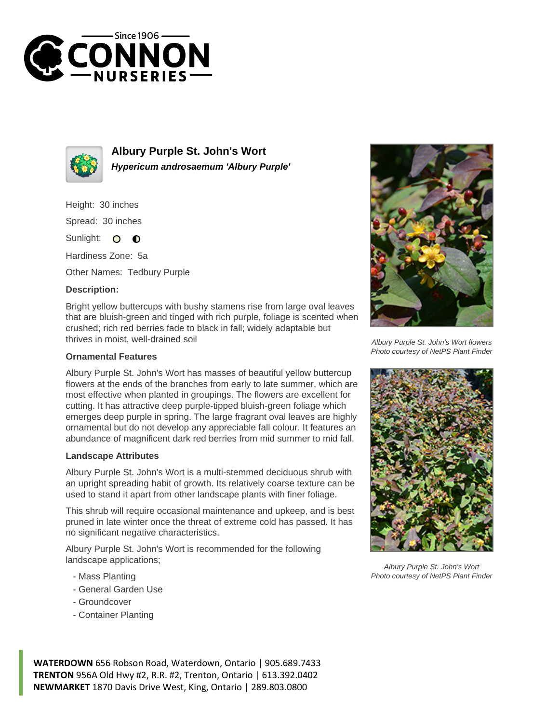



**Albury Purple St. John's Wort Hypericum androsaemum 'Albury Purple'**

Height: 30 inches

Spread: 30 inches

Sunlight: O  $\bullet$ 

Hardiness Zone: 5a

Other Names: Tedbury Purple

## **Description:**

Bright yellow buttercups with bushy stamens rise from large oval leaves that are bluish-green and tinged with rich purple, foliage is scented when crushed; rich red berries fade to black in fall; widely adaptable but thrives in moist, well-drained soil

## **Ornamental Features**

Albury Purple St. John's Wort has masses of beautiful yellow buttercup flowers at the ends of the branches from early to late summer, which are most effective when planted in groupings. The flowers are excellent for cutting. It has attractive deep purple-tipped bluish-green foliage which emerges deep purple in spring. The large fragrant oval leaves are highly ornamental but do not develop any appreciable fall colour. It features an abundance of magnificent dark red berries from mid summer to mid fall.

## **Landscape Attributes**

Albury Purple St. John's Wort is a multi-stemmed deciduous shrub with an upright spreading habit of growth. Its relatively coarse texture can be used to stand it apart from other landscape plants with finer foliage.

This shrub will require occasional maintenance and upkeep, and is best pruned in late winter once the threat of extreme cold has passed. It has no significant negative characteristics.

Albury Purple St. John's Wort is recommended for the following landscape applications;

- Mass Planting
- General Garden Use
- Groundcover
- Container Planting



Albury Purple St. John's Wort flowers Photo courtesy of NetPS Plant Finder



Albury Purple St. John's Wort Photo courtesy of NetPS Plant Finder

**WATERDOWN** 656 Robson Road, Waterdown, Ontario | 905.689.7433 **TRENTON** 956A Old Hwy #2, R.R. #2, Trenton, Ontario | 613.392.0402 **NEWMARKET** 1870 Davis Drive West, King, Ontario | 289.803.0800